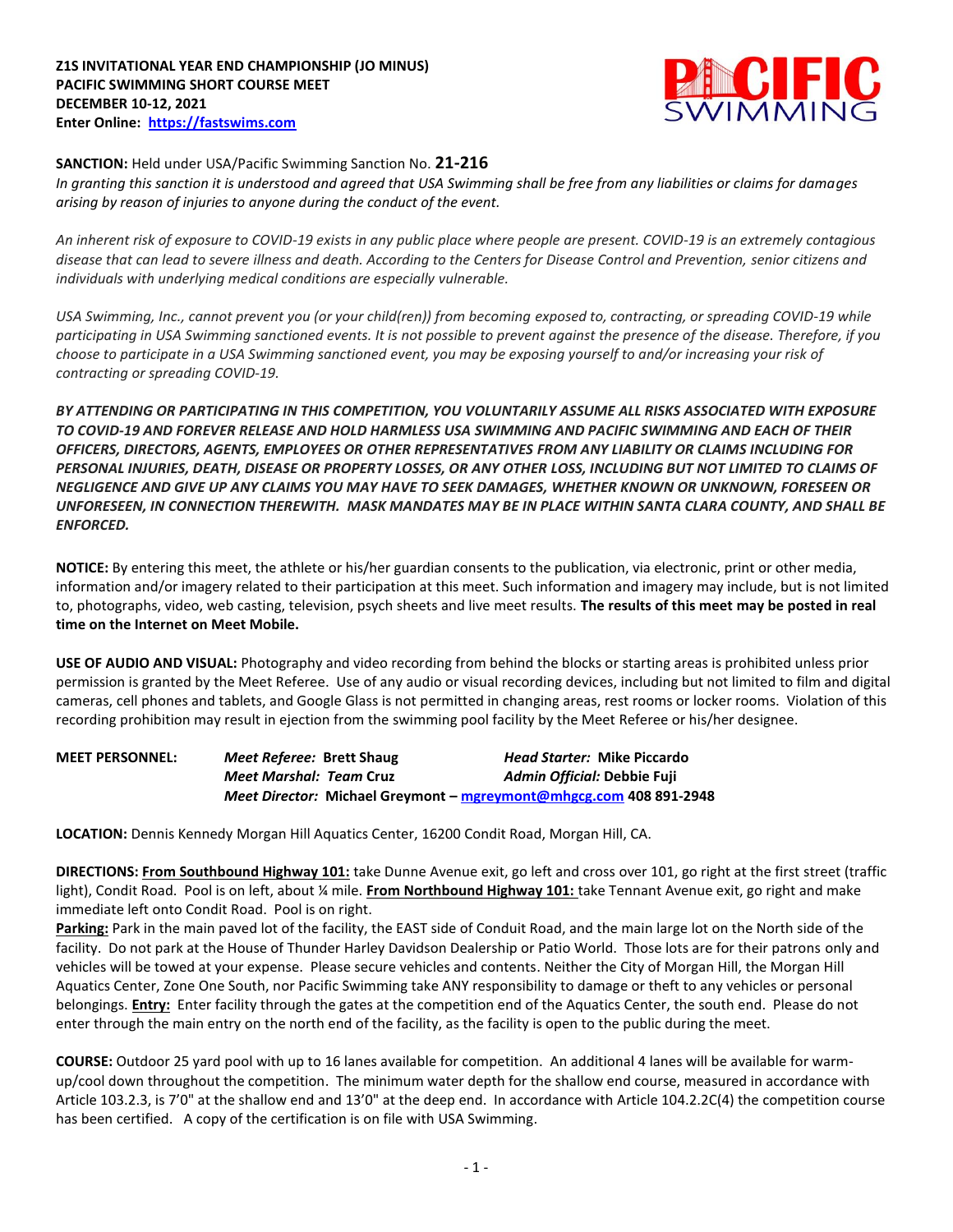

## **SANCTION:** Held under USA/Pacific Swimming Sanction No. **21-216**

*In granting this sanction it is understood and agreed that USA Swimming shall be free from any liabilities or claims for damages arising by reason of injuries to anyone during the conduct of the event.* 

*An inherent risk of exposure to COVID-19 exists in any public place where people are present. COVID-19 is an extremely contagious disease that can lead to severe illness and death. According to the Centers for Disease Control and Prevention, senior citizens and individuals with underlying medical conditions are especially vulnerable.*

*USA Swimming, Inc., cannot prevent you (or your child(ren)) from becoming exposed to, contracting, or spreading COVID-19 while participating in USA Swimming sanctioned events. It is not possible to prevent against the presence of the disease. Therefore, if you choose to participate in a USA Swimming sanctioned event, you may be exposing yourself to and/or increasing your risk of contracting or spreading COVID-19.*

*BY ATTENDING OR PARTICIPATING IN THIS COMPETITION, YOU VOLUNTARILY ASSUME ALL RISKS ASSOCIATED WITH EXPOSURE TO COVID-19 AND FOREVER RELEASE AND HOLD HARMLESS USA SWIMMING AND PACIFIC SWIMMING AND EACH OF THEIR OFFICERS, DIRECTORS, AGENTS, EMPLOYEES OR OTHER REPRESENTATIVES FROM ANY LIABILITY OR CLAIMS INCLUDING FOR PERSONAL INJURIES, DEATH, DISEASE OR PROPERTY LOSSES, OR ANY OTHER LOSS, INCLUDING BUT NOT LIMITED TO CLAIMS OF NEGLIGENCE AND GIVE UP ANY CLAIMS YOU MAY HAVE TO SEEK DAMAGES, WHETHER KNOWN OR UNKNOWN, FORESEEN OR UNFORESEEN, IN CONNECTION THEREWITH. MASK MANDATES MAY BE IN PLACE WITHIN SANTA CLARA COUNTY, AND SHALL BE ENFORCED.*

**NOTICE:** By entering this meet, the athlete or his/her guardian consents to the publication, via electronic, print or other media, information and/or imagery related to their participation at this meet. Such information and imagery may include, but is not limited to, photographs, video, web casting, television, psych sheets and live meet results. **The results of this meet may be posted in real time on the Internet on Meet Mobile.**

**USE OF AUDIO AND VISUAL:** Photography and video recording from behind the blocks or starting areas is prohibited unless prior permission is granted by the Meet Referee. Use of any audio or visual recording devices, including but not limited to film and digital cameras, cell phones and tablets, and Google Glass is not permitted in changing areas, rest rooms or locker rooms. Violation of this recording prohibition may result in ejection from the swimming pool facility by the Meet Referee or his/her designee.

| <b>MEET PERSONNEL:</b> | <i>Meet Referee: Brett Shaug</i> | <b>Head Starter: Mike Piccardo</b>                                 |
|------------------------|----------------------------------|--------------------------------------------------------------------|
|                        | Meet Marshal: Team Cruz          | Admin Official: Debbie Fuji                                        |
|                        |                                  | Meet Director: Michael Greymont – mgreymont@mhgcg.com 408 891-2948 |

**LOCATION:** Dennis Kennedy Morgan Hill Aquatics Center, 16200 Condit Road, Morgan Hill, CA.

**DIRECTIONS: From Southbound Highway 101:** take Dunne Avenue exit, go left and cross over 101, go right at the first street (traffic light), Condit Road. Pool is on left, about ¼ mile. **From Northbound Highway 101:** take Tennant Avenue exit, go right and make immediate left onto Condit Road. Pool is on right.

**Parking:** Park in the main paved lot of the facility, the EAST side of Conduit Road, and the main large lot on the North side of the facility. Do not park at the House of Thunder Harley Davidson Dealership or Patio World. Those lots are for their patrons only and vehicles will be towed at your expense. Please secure vehicles and contents. Neither the City of Morgan Hill, the Morgan Hill Aquatics Center, Zone One South, nor Pacific Swimming take ANY responsibility to damage or theft to any vehicles or personal belongings. **Entry:** Enter facility through the gates at the competition end of the Aquatics Center, the south end. Please do not enter through the main entry on the north end of the facility, as the facility is open to the public during the meet.

**COURSE:** Outdoor 25 yard pool with up to 16 lanes available for competition. An additional 4 lanes will be available for warmup/cool down throughout the competition. The minimum water depth for the shallow end course, measured in accordance with Article 103.2.3, is 7'0" at the shallow end and 13'0" at the deep end. In accordance with Article 104.2.2C(4) the competition course has been certified. A copy of the certification is on file with USA Swimming.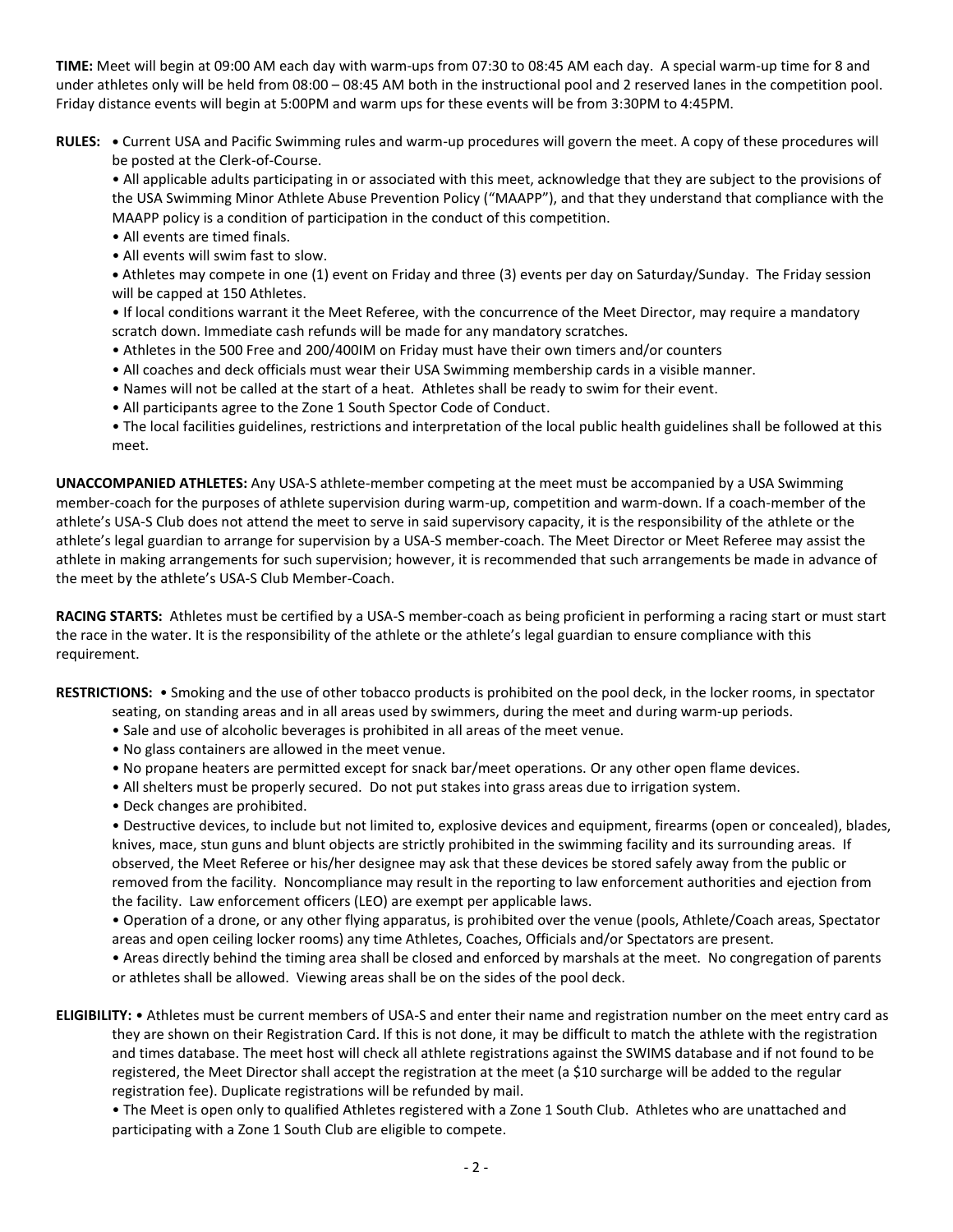**TIME:** Meet will begin at 09:00 AM each day with warm-ups from 07:30 to 08:45 AM each day. A special warm-up time for 8 and under athletes only will be held from 08:00 – 08:45 AM both in the instructional pool and 2 reserved lanes in the competition pool. Friday distance events will begin at 5:00PM and warm ups for these events will be from 3:30PM to 4:45PM.

**RULES: •** Current USA and Pacific Swimming rules and warm-up procedures will govern the meet. A copy of these procedures will be posted at the Clerk-of-Course.

• All applicable adults participating in or associated with this meet, acknowledge that they are subject to the provisions of the USA Swimming Minor Athlete Abuse Prevention Policy ("MAAPP"), and that they understand that compliance with the MAAPP policy is a condition of participation in the conduct of this competition.

- All events are timed finals.
- All events will swim fast to slow.

**•** Athletes may compete in one (1) event on Friday and three (3) events per day on Saturday/Sunday. The Friday session will be capped at 150 Athletes.

• If local conditions warrant it the Meet Referee, with the concurrence of the Meet Director, may require a mandatory scratch down. Immediate cash refunds will be made for any mandatory scratches.

- Athletes in the 500 Free and 200/400IM on Friday must have their own timers and/or counters
- All coaches and deck officials must wear their USA Swimming membership cards in a visible manner.
- Names will not be called at the start of a heat. Athletes shall be ready to swim for their event.
- All participants agree to the Zone 1 South Spector Code of Conduct.
- The local facilities guidelines, restrictions and interpretation of the local public health guidelines shall be followed at this meet.

**UNACCOMPANIED ATHLETES:** Any USA-S athlete-member competing at the meet must be accompanied by a USA Swimming member-coach for the purposes of athlete supervision during warm-up, competition and warm-down. If a coach-member of the athlete's USA-S Club does not attend the meet to serve in said supervisory capacity, it is the responsibility of the athlete or the athlete's legal guardian to arrange for supervision by a USA-S member-coach. The Meet Director or Meet Referee may assist the athlete in making arrangements for such supervision; however, it is recommended that such arrangements be made in advance of the meet by the athlete's USA-S Club Member-Coach.

**RACING STARTS:** Athletes must be certified by a USA-S member-coach as being proficient in performing a racing start or must start the race in the water. It is the responsibility of the athlete or the athlete's legal guardian to ensure compliance with this requirement.

**RESTRICTIONS:** • Smoking and the use of other tobacco products is prohibited on the pool deck, in the locker rooms, in spectator

- seating, on standing areas and in all areas used by swimmers, during the meet and during warm-up periods.
- Sale and use of alcoholic beverages is prohibited in all areas of the meet venue.
- No glass containers are allowed in the meet venue.
- No propane heaters are permitted except for snack bar/meet operations. Or any other open flame devices.
- All shelters must be properly secured. Do not put stakes into grass areas due to irrigation system.
- Deck changes are prohibited.

• Destructive devices, to include but not limited to, explosive devices and equipment, firearms (open or concealed), blades, knives, mace, stun guns and blunt objects are strictly prohibited in the swimming facility and its surrounding areas. If observed, the Meet Referee or his/her designee may ask that these devices be stored safely away from the public or removed from the facility. Noncompliance may result in the reporting to law enforcement authorities and ejection from the facility. Law enforcement officers (LEO) are exempt per applicable laws.

• Operation of a drone, or any other flying apparatus, is prohibited over the venue (pools, Athlete/Coach areas, Spectator areas and open ceiling locker rooms) any time Athletes, Coaches, Officials and/or Spectators are present.

• Areas directly behind the timing area shall be closed and enforced by marshals at the meet. No congregation of parents or athletes shall be allowed. Viewing areas shall be on the sides of the pool deck.

**ELIGIBILITY:** • Athletes must be current members of USA-S and enter their name and registration number on the meet entry card as they are shown on their Registration Card. If this is not done, it may be difficult to match the athlete with the registration and times database. The meet host will check all athlete registrations against the SWIMS database and if not found to be registered, the Meet Director shall accept the registration at the meet (a \$10 surcharge will be added to the regular registration fee). Duplicate registrations will be refunded by mail.

• The Meet is open only to qualified Athletes registered with a Zone 1 South Club. Athletes who are unattached and participating with a Zone 1 South Club are eligible to compete.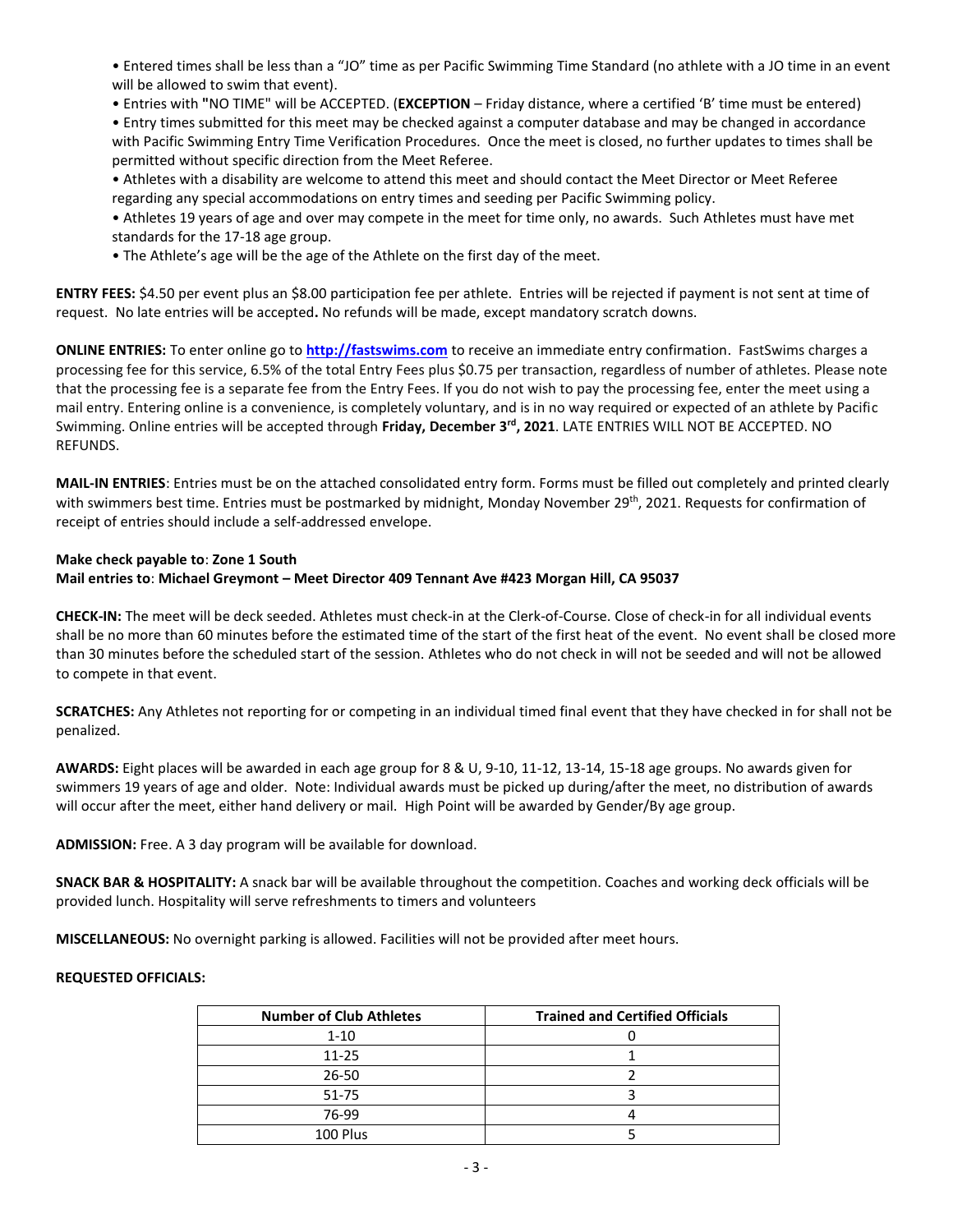• Entered times shall be less than a "JO" time as per Pacific Swimming Time Standard (no athlete with a JO time in an event will be allowed to swim that event).

• Entries with **"**NO TIME" will be ACCEPTED. (**EXCEPTION** – Friday distance, where a certified 'B' time must be entered)

• Entry times submitted for this meet may be checked against a computer database and may be changed in accordance with Pacific Swimming Entry Time Verification Procedures. Once the meet is closed, no further updates to times shall be permitted without specific direction from the Meet Referee.

• Athletes with a disability are welcome to attend this meet and should contact the Meet Director or Meet Referee regarding any special accommodations on entry times and seeding per Pacific Swimming policy.

• Athletes 19 years of age and over may compete in the meet for time only, no awards. Such Athletes must have met standards for the 17-18 age group.

• The Athlete's age will be the age of the Athlete on the first day of the meet.

**ENTRY FEES:** \$4.50 per event plus an \$8.00 participation fee per athlete. Entries will be rejected if payment is not sent at time of request. No late entries will be accepted**.** No refunds will be made, except mandatory scratch downs.

**ONLINE ENTRIES:** To enter online go to **[http://fastswims.com](http://fastswims.com/)** to receive an immediate entry confirmation. FastSwims charges a processing fee for this service, 6.5% of the total Entry Fees plus \$0.75 per transaction, regardless of number of athletes. Please note that the processing fee is a separate fee from the Entry Fees. If you do not wish to pay the processing fee, enter the meet using a mail entry. Entering online is a convenience, is completely voluntary, and is in no way required or expected of an athlete by Pacific Swimming. Online entries will be accepted through **Friday, December 3rd, 2021**. LATE ENTRIES WILL NOT BE ACCEPTED. NO REFUNDS.

**MAIL-IN ENTRIES**: Entries must be on the attached consolidated entry form. Forms must be filled out completely and printed clearly with swimmers best time. Entries must be postmarked by midnight, Monday November 29<sup>th</sup>, 2021. Requests for confirmation of receipt of entries should include a self-addressed envelope.

# **Make check payable to**: **Zone 1 South**

## **Mail entries to**: **Michael Greymont – Meet Director 409 Tennant Ave #423 Morgan Hill, CA 95037**

**CHECK-IN:** The meet will be deck seeded. Athletes must check-in at the Clerk-of-Course. Close of check-in for all individual events shall be no more than 60 minutes before the estimated time of the start of the first heat of the event. No event shall be closed more than 30 minutes before the scheduled start of the session. Athletes who do not check in will not be seeded and will not be allowed to compete in that event.

**SCRATCHES:** Any Athletes not reporting for or competing in an individual timed final event that they have checked in for shall not be penalized.

**AWARDS:** Eight places will be awarded in each age group for 8 & U, 9-10, 11-12, 13-14, 15-18 age groups. No awards given for swimmers 19 years of age and older. Note: Individual awards must be picked up during/after the meet, no distribution of awards will occur after the meet, either hand delivery or mail. High Point will be awarded by Gender/By age group.

**ADMISSION:** Free. A 3 day program will be available for download.

**SNACK BAR & HOSPITALITY:** A snack bar will be available throughout the competition. Coaches and working deck officials will be provided lunch. Hospitality will serve refreshments to timers and volunteers

**MISCELLANEOUS:** No overnight parking is allowed. Facilities will not be provided after meet hours.

## **REQUESTED OFFICIALS:**

| <b>Number of Club Athletes</b> | <b>Trained and Certified Officials</b> |
|--------------------------------|----------------------------------------|
| $1 - 10$                       |                                        |
| $11 - 25$                      |                                        |
| $26 - 50$                      |                                        |
| 51-75                          |                                        |
| 76-99                          |                                        |
| 100 Plus                       |                                        |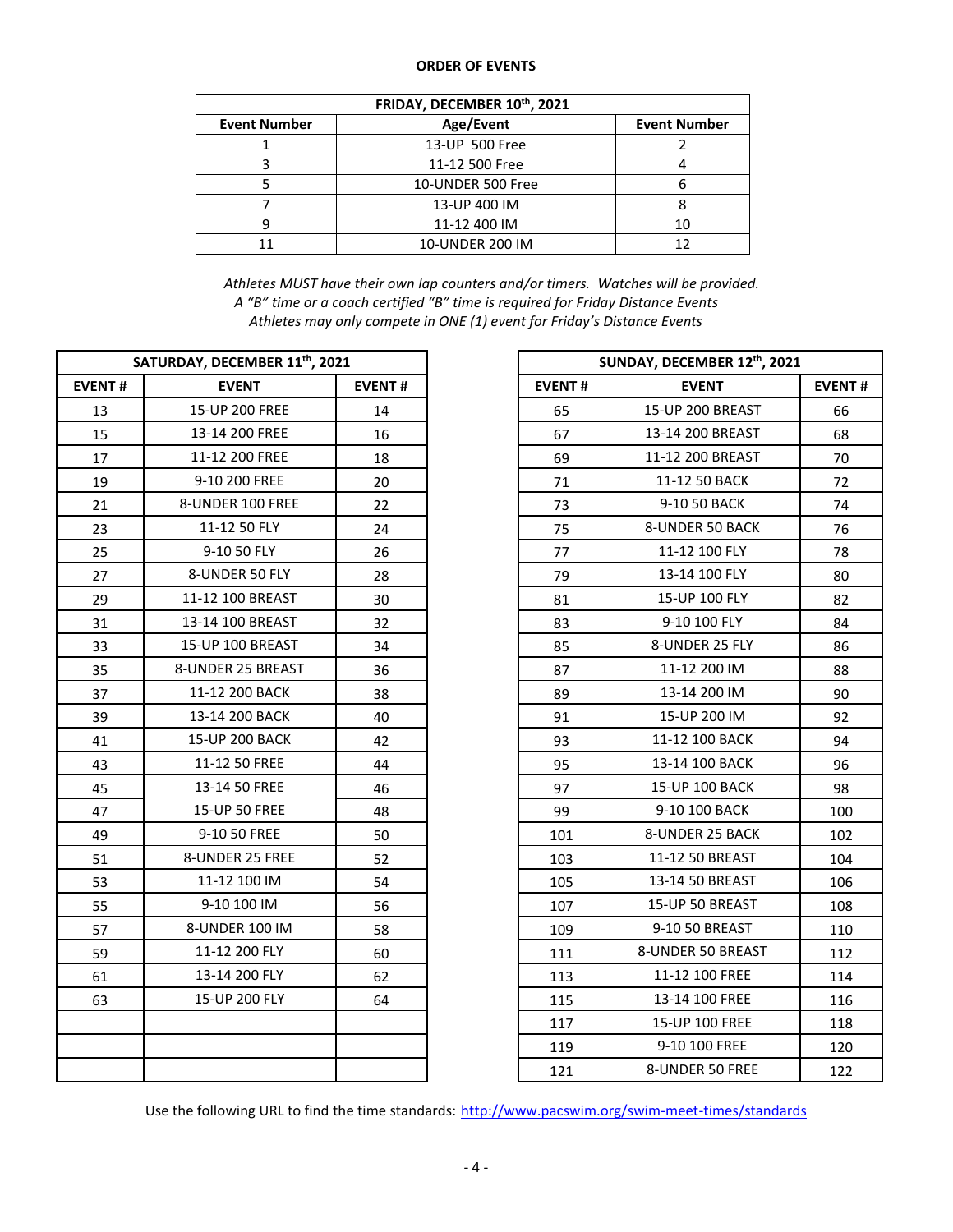### **ORDER OF EVENTS**

| FRIDAY, DECEMBER 10th, 2021 |                   |                     |  |  |  |  |  |  |
|-----------------------------|-------------------|---------------------|--|--|--|--|--|--|
| <b>Event Number</b>         | Age/Event         | <b>Event Number</b> |  |  |  |  |  |  |
|                             | 13-UP 500 Free    |                     |  |  |  |  |  |  |
|                             | 11-12 500 Free    |                     |  |  |  |  |  |  |
|                             | 10-UNDER 500 Free |                     |  |  |  |  |  |  |
|                             | 13-UP 400 IM      |                     |  |  |  |  |  |  |
|                             | 11-12 400 IM      | 10                  |  |  |  |  |  |  |
|                             | 10-UNDER 200 IM   | 17                  |  |  |  |  |  |  |

*Athletes MUST have their own lap counters and/or timers. Watches will be provided. A "B" time or a coach certified "B" time is required for Friday Distance Events Athletes may only compete in ONE (1) event for Friday's Distance Events*

| SATURDAY, DECEMBER 11 <sup>th</sup> , 2021 |                   |               |               | SUNDAY, DECEMBER 12th, 2021 |               |  |  |
|--------------------------------------------|-------------------|---------------|---------------|-----------------------------|---------------|--|--|
| <b>EVENT#</b>                              | <b>EVENT</b>      | <b>EVENT#</b> | <b>EVENT#</b> | <b>EVENT</b>                | <b>EVENT#</b> |  |  |
| 13                                         | 15-UP 200 FREE    | 14            | 65            | 15-UP 200 BREAST            | 66            |  |  |
| 15                                         | 13-14 200 FREE    | 16            | 67            | 13-14 200 BREAST            | 68            |  |  |
| 17                                         | 11-12 200 FREE    | 18            | 69            | 11-12 200 BREAST            | 70            |  |  |
| 19                                         | 9-10 200 FREE     | 20            | 71            | 11-12 50 BACK               | 72            |  |  |
| 21                                         | 8-UNDER 100 FREE  | 22            | 73            | 9-10 50 BACK                | 74            |  |  |
| 23                                         | 11-12 50 FLY      | 24            | 75            | <b>8-UNDER 50 BACK</b>      | 76            |  |  |
| 25                                         | 9-10 50 FLY       | 26            | 77            | 11-12 100 FLY               | 78            |  |  |
| 27                                         | 8-UNDER 50 FLY    | 28            | 79            | 13-14 100 FLY               | 80            |  |  |
| 29                                         | 11-12 100 BREAST  | 30            | 81            | 15-UP 100 FLY               | 82            |  |  |
| 31                                         | 13-14 100 BREAST  | 32            | 83            | 9-10 100 FLY                | 84            |  |  |
| 33                                         | 15-UP 100 BREAST  | 34            | 85            | 8-UNDER 25 FLY              | 86            |  |  |
| 35                                         | 8-UNDER 25 BREAST | 36            | 87            | 11-12 200 IM                | 88            |  |  |
| 37                                         | 11-12 200 BACK    | 38            | 89            | 13-14 200 IM                | 90            |  |  |
| 39                                         | 13-14 200 BACK    | 40            | 91            | 15-UP 200 IM                | 92            |  |  |
| 41                                         | 15-UP 200 BACK    | 42            | 93            | 11-12 100 BACK              | 94            |  |  |
| 43                                         | 11-12 50 FREE     | 44            | 95            | 13-14 100 BACK              | 96            |  |  |
| 45                                         | 13-14 50 FREE     | 46            | 97            | 15-UP 100 BACK              | 98            |  |  |
| 47                                         | 15-UP 50 FREE     | 48            | 99            | 9-10 100 BACK               | 100           |  |  |
| 49                                         | 9-10 50 FREE      | 50            | 101           | 8-UNDER 25 BACK             | 102           |  |  |
| 51                                         | 8-UNDER 25 FREE   | 52            | 103           | 11-12 50 BREAST             | 104           |  |  |
| 53                                         | 11-12 100 IM      | 54            | 105           | 13-14 50 BREAST             | 106           |  |  |
| 55                                         | 9-10 100 IM       | 56            | 107           | 15-UP 50 BREAST             | 108           |  |  |
| 57                                         | 8-UNDER 100 IM    | 58            | 109           | 9-10 50 BREAST              | 110           |  |  |
| 59                                         | 11-12 200 FLY     | 60            | 111           | 8-UNDER 50 BREAST           | 112           |  |  |
| 61                                         | 13-14 200 FLY     | 62            | 113           | 11-12 100 FREE              | 114           |  |  |
| 63                                         | 15-UP 200 FLY     | 64            | 115           | 13-14 100 FREE              | 116           |  |  |
|                                            |                   |               | 117           | 15-UP 100 FREE              | 118           |  |  |
|                                            |                   |               | 119           | 9-10 100 FREE               | 120           |  |  |
|                                            |                   |               | 121           | 8-UNDER 50 FREE             | 122           |  |  |

| SUNDAY, DECEMBER 12th, 2021 |                       |     |  |  |  |  |  |  |
|-----------------------------|-----------------------|-----|--|--|--|--|--|--|
| <b>EVENT#</b>               | <b>EVENT#</b>         |     |  |  |  |  |  |  |
| 65                          | 15-UP 200 BREAST      | 66  |  |  |  |  |  |  |
| 67                          | 13-14 200 BREAST      | 68  |  |  |  |  |  |  |
| 69                          | 11-12 200 BREAST      | 70  |  |  |  |  |  |  |
| 71                          | 11-12 50 BACK         | 72  |  |  |  |  |  |  |
| 73                          | 9-10 50 BACK          | 74  |  |  |  |  |  |  |
| 75                          | 8-UNDER 50 BACK       | 76  |  |  |  |  |  |  |
| 77                          | 11-12 100 FLY         | 78  |  |  |  |  |  |  |
| 79                          | 13-14 100 FLY         | 80  |  |  |  |  |  |  |
| 81                          | 15-UP 100 FLY         | 82  |  |  |  |  |  |  |
| 83                          | 9-10 100 FLY          | 84  |  |  |  |  |  |  |
| 85                          | 8-UNDER 25 FLY        | 86  |  |  |  |  |  |  |
| 87                          | 11-12 200 IM          | 88  |  |  |  |  |  |  |
| 89                          | 13-14 200 IM          | 90  |  |  |  |  |  |  |
| 91                          | 15-UP 200 IM          | 92  |  |  |  |  |  |  |
| 93                          | 11-12 100 BACK        | 94  |  |  |  |  |  |  |
| 95                          | 13-14 100 BACK        | 96  |  |  |  |  |  |  |
| 97                          | <b>15-UP 100 BACK</b> | 98  |  |  |  |  |  |  |
| 99                          | 9-10 100 BACK         | 100 |  |  |  |  |  |  |
| 101                         | 8-UNDER 25 BACK       | 102 |  |  |  |  |  |  |
| 103                         | 11-12 50 BREAST       | 104 |  |  |  |  |  |  |
| 105                         | 13-14 50 BREAST       | 106 |  |  |  |  |  |  |
| 107                         | 15-UP 50 BREAST       | 108 |  |  |  |  |  |  |
| 109                         | 9-10 50 BREAST        | 110 |  |  |  |  |  |  |
| 111                         | 8-UNDER 50 BREAST     | 112 |  |  |  |  |  |  |
| 113                         | 11-12 100 FREE        | 114 |  |  |  |  |  |  |
| 115                         | 13-14 100 FREE        | 116 |  |  |  |  |  |  |
| 117                         | 15-UP 100 FREE        | 118 |  |  |  |  |  |  |
| 119                         | 9-10 100 FREE         | 120 |  |  |  |  |  |  |
| 121                         | 8-UNDER 50 FREE       | 122 |  |  |  |  |  |  |

Use the following URL to find the time standards: <http://www.pacswim.org/swim-meet-times/standards>